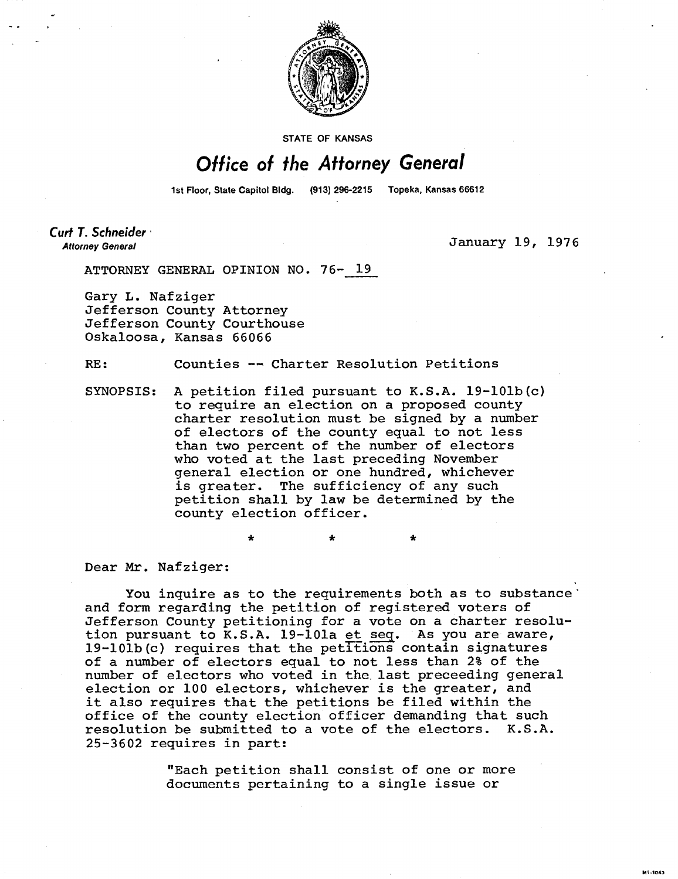

**STATE OF KANSAS** 

## Office of the Attorney General

1st Floor, State Capitol Bldg. (913) 296-2215 Topeka, Kansas 66612

Curt T. Schneider **Attorney General** 

January 19, 1976

M1-1043

ATTORNEY GENERAL OPINION NO. 76- 19

Gary L. Nafziger Jefferson County Attorney Jefferson County Courthouse Oskaloosa, Kansas 66066

RE: Counties -- Charter Resolution Petitions

SYNOPSIS: A petition filed pursuant to K.S.A. 19-101b(c) to require an election on a proposed county charter resolution must be signed by a number of electors of the county equal to not less than two percent of the number of electors who voted at the last preceding November general election or one hundred, whichever is greater. The sufficiency of any such petition shall by law be determined by the county election officer.

Dear Mr. Nafziger:

You inquire as to the requirements both as to substance' and form regarding the petition of registered voters of Jefferson County petitioning for a vote on a charter resolution pursuant to K.S.A. 19-101a et seq. As you are aware, 19-101b(c) requires that the petitions contain signatures of a number of electors equal to not less than 2% of the number of electors who voted in the last preceeding general election or 100 electors, whichever is the greater, and it also requires that the petitions be filed within the office of the county election officer demanding that such resolution be submitted to a vote of the electors. K.S.A. 25-3602 requires in part:

\*

"Each petition shall consist of one or more documents pertaining to a single issue or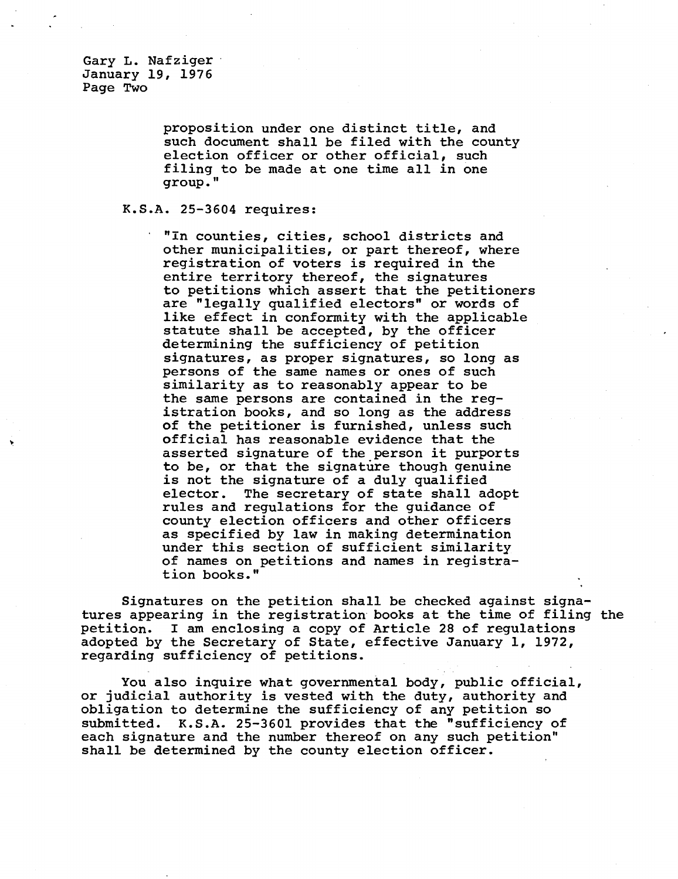**proposition under one distinct title, and such document shall be filed with the county election officer or other official, such filing to be made at one time all in one group."** 

## **K.S.A. 25-3604 requires:**

 **"In counties, cities, school districts and other municipalities, or part thereof, where registration of voters is required in the entire territory thereof, the signatures to petitions which assert that the petitioners are "legally qualified electors" or words of like effect in conformity with the applicable statute shall be accepted, by the officer determining the sufficiency of petition signatures, as proper signatures, so long as persons of the same names or ones of such similarity as to reasonably appear to be the same persons are contained in the registration books, and so long as the address of the petitioner is furnished, unless such official has reasonable evidence that the asserted signature of the person it purports to be, or that the signature though genuine is not the signature of a duly qualified elector. The secretary of state shall adopt rules and regulations for the guidance of county election officers and other officers as specified by law in making determination under this section of sufficient similarity of names on petitions and names in registration books."** 

**Signatures on the petition shall be checked against signatures appearing in the registration books at the time of filing the petition. I am enclosing a copy of Article 28 of regulations adopted by the Secretary of State, effective January 1, 1972, regarding sufficiency of petitions.** 

**You also inquire what governmental body, public official, or judicial authority is vested with the duty, authority and obligation to determine the sufficiency of any petition so submitted. K.S.A. 25-3601 provides that the "sufficiency of each signature and the number thereof on any such petition" shall be determined by the county election officer.**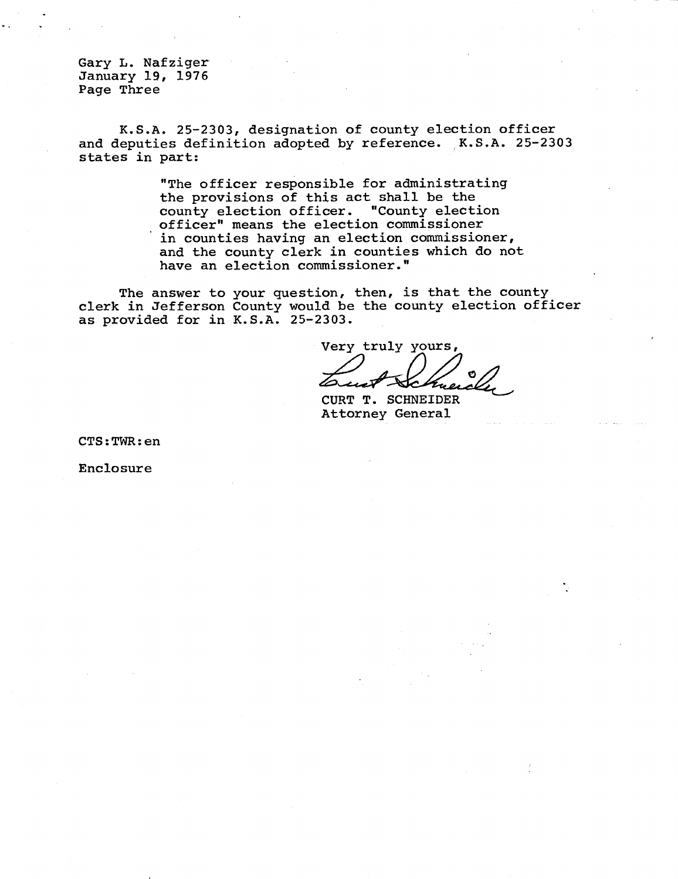Gary L. Nafziger January 19, 1976 Page Three

K.S.A. 25-2303, designation of county election officer and deputies definition adopted by reference. K.S.A. 25-2303 states in part:

> "The officer responsible for administrating the provisions of this act shall be the county election officer. "County election officer" means the election commissioner in counties having an election commissioner, and the county clerk in counties which do not have an election commissioner."

The answer to your question, then, is that the county clerk in Jefferson County would be the county election officer as provided for in K.S.A. 25-2303.

Very truly yours,

CURT T. SCHNEIDER Attorney General

CTS:TWR:en

Enclosure